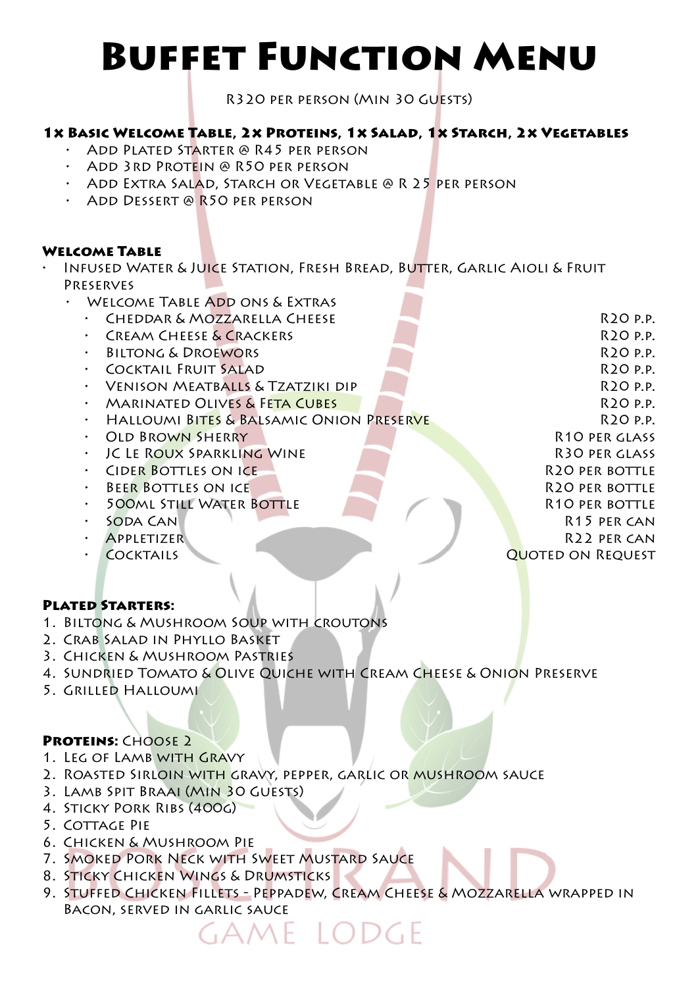# Buffet Function Menu

R320 per person (Min 30 Guests)

#### 1x Basic Welcome Table, 2x Proteins, 1x Salad, 1x Starch, 2x Vegetables

- Add Plated Starter @ R45 per person
- Add 3rd Protein @ R50 per person
- Add Extra Salad, Starch or Vegetable @ R 25 per person
- Add Dessert @ R50 per person

#### Welcome Table

- INFUSED WATER & JUICE STATION, FRESH BREAD, BUTTER, GARLIC AIOLI & FRUIT Preserves
	- WELCOME TABLE ADD ONS & EXTRAS
	- extending the Danis Cheese R20 p.p.
	- **FREAM CHEESE & CRACKERS CRACKERS R20 p.p.**
	- Biltong & Droewors R20 p.p.
	- Cocktail Fruit Salad R20 p.p.
	- Venison Meatballs & Tzatziki dip R20 p.p.
	- **EXAMPLE ON A SET A CUBES A SET A CUBE A SET AND RELATED ON PRIME ISLAM**
	- Halloumi Bites & Balsamic Onion Preserve R20 p.p.
	- **OLD BROWN SHERRY R10 per glass** R10 per glass
	- JC Le Roux Sparkling Wine R30 per glass
	- Cider Bottles on ice R20 per bottle
	- **BEER BOTTLES ON ICE REPORT OF REAL PROPER BOTTLE**
	- 500ml Still Water Bottle R10 per bottle
	- SODA CAN R15 per can R15 per can
	- Appletizer R22 per can
	- Cocktails Quoted on Request

#### Plated Starters:

- 1. Biltong & Mushroom Soup with croutons
- 2. Crab Salad in Phyllo Basket
- 3. Chicken & Mushroom Pastries
- 4. Sundried Tomato & Olive Quiche with Cream Cheese & Onion Preserve
- 5. Grilled Halloumi

# PROTEINS: CHOOSE 2

- 1. LEG OF LAMB WITH GRAVY
- 2. ROASTED SIRLOIN WITH GRAVY, PEPPER, GARLIC OR MUSHROOM SAUCE
- 3. Lamb Spit Braai (Min 30 Guests)
- 4. Sticky Pork Ribs (400g)
- 5. Cottage Pie
- 6. Chicken & Mushroom Pie
- 7. Smoked Pork Neck with Sweet Mustard Sauce
- 8. Sticky Chicken Wings & Drumsticks
- 9. Stuffed Chicken Fillets Peppadew, Cream Cheese & Mozzarella wrapped in Bacon, served in garlic sauce

ame Lodge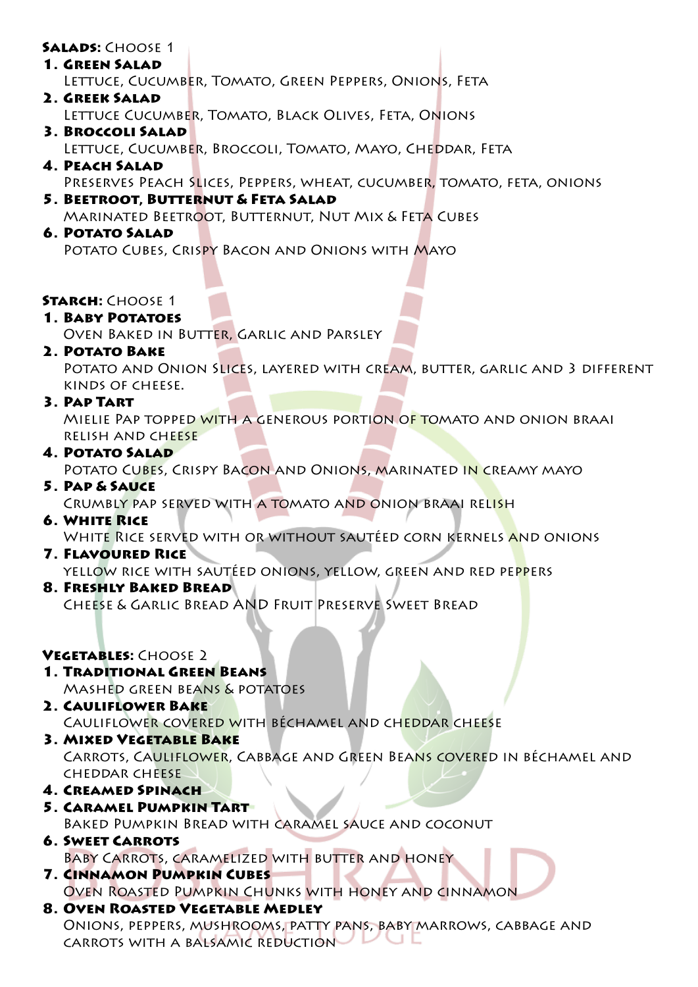#### SALADS: CHOOSE 1

- 1. Green Salad Lettuce, Cucumber, Tomato, Green Peppers, Onions, Feta 2. Greek Salad
	- LETTUCE CUCUMBER, TOMATO, BLACK OLIVES, FETA, ONIONS
- 3. Broccoli Salad Lettuce, Cucumber, Broccoli, Tomato, Mayo, Cheddar, Feta
- 4. Peach Salad
- Preserves Peach Slices, Peppers, wheat, cucumber, tomato, feta, onions
- 5. Beetroot, Butternut & Feta Salad Marinated Beetroot, Butternut, Nut Mix & Feta Cubes

#### 6. Potato Salad

POTATO CUBES, CRISPY BACON AND ONIONS WITH MAYO

#### **STARCH: CHOOSE 1**

#### 1. Baby Potatoes

Oven Baked in Butter, Garlic and Parsley

#### 2. Potato Bake

Potato and Onion Slices, layered with cream, butter, garlic and 3 different kinds of cheese.

#### 3. Pap Tart

Mielie Pap topped with a generous portion of tomato and onion braai relish and cheese

#### 4. Potato Salad

POTATO CUBES, CRISPY BACON AND ONIONS, MARINATED IN CREAMY MAYO

5. Pap & Sauce

Crumbly pap served with a tomato and onion braai relish

# 6. White Rice

WHITE RICE SERVED WITH OR WITHOUT SAUTÉED CORN KERNELS AND ONIONS

#### **7. FLAVOURED RICE**

yellow rice with sautéed onions, yellow, green and red peppers

8. Freshly Baked Bread

Cheese & Garlic Bread AND Fruit Preserve Sweet Bread

# VEGETABLES: CHOOSE 2

- 1. Traditional Green Beans Mashed green beans & potatoes
- 2. Cauliflower Bake Cauliflower covered with béchamel and cheddar cheese
- 3. Mixed Vegetable Bake Carrots, Cauliflower, Cabbage and Green Beans covered in béchamel and cheddar cheese
- 4. Creamed Spinach
- 5. Caramel Pumpkin Tart Baked Pumpkin Bread with caramel sauce and coconut
- 6. Sweet Carrots Baby Carrots, caramelized with butter and honey
- 7. Cinnamon Pumpkin Cubes Oven Roasted Pumpkin Chunks with honey and cinnamon
- 8. Oven Roasted Vegetable Medley Onions, peppers, mushrooms, patty pans, baby marrows, cabbage and carrots with a balsamic reduction